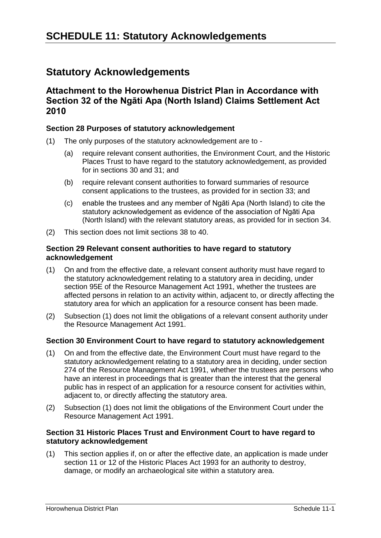# **Statutory Acknowledgements**

# **Attachment to the Horowhenua District Plan in Accordance with Section 32 of the Ngāti Apa (North Island) Claims Settlement Act 2010**

# **Section 28 Purposes of statutory acknowledgement**

- (1) The only purposes of the statutory acknowledgement are to
	- (a) require relevant consent authorities, the Environment Court, and the Historic Places Trust to have regard to the statutory acknowledgement, as provided for in sections 30 and 31; and
	- (b) require relevant consent authorities to forward summaries of resource consent applications to the trustees, as provided for in section 33; and
	- (c) enable the trustees and any member of Ngāti Apa (North Island) to cite the statutory acknowledgement as evidence of the association of Ngāti Apa (North Island) with the relevant statutory areas, as provided for in section 34.
- (2) This section does not limit sections 38 to 40.

# **Section 29 Relevant consent authorities to have regard to statutory acknowledgement**

- (1) On and from the effective date, a relevant consent authority must have regard to the statutory acknowledgement relating to a statutory area in deciding, under section 95E of the Resource Management Act 1991, whether the trustees are affected persons in relation to an activity within, adjacent to, or directly affecting the statutory area for which an application for a resource consent has been made.
- (2) Subsection (1) does not limit the obligations of a relevant consent authority under the Resource Management Act 1991.

#### **Section 30 Environment Court to have regard to statutory acknowledgement**

- (1) On and from the effective date, the Environment Court must have regard to the statutory acknowledgement relating to a statutory area in deciding, under section 274 of the Resource Management Act 1991, whether the trustees are persons who have an interest in proceedings that is greater than the interest that the general public has in respect of an application for a resource consent for activities within, adjacent to, or directly affecting the statutory area.
- (2) Subsection (1) does not limit the obligations of the Environment Court under the Resource Management Act 1991.

# **Section 31 Historic Places Trust and Environment Court to have regard to statutory acknowledgement**

(1) This section applies if, on or after the effective date, an application is made under section 11 or 12 of the Historic Places Act 1993 for an authority to destroy, damage, or modify an archaeological site within a statutory area.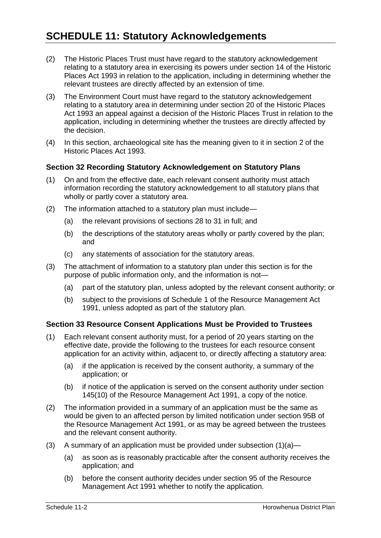- (2) The Historic Places Trust must have regard to the statutory acknowledgement relating to a statutory area in exercising its powers under section 14 of the Historic Places Act 1993 in relation to the application, including in determining whether the relevant trustees are directly affected by an extension of time.
- (3) The Environment Court must have regard to the statutory acknowledgement relating to a statutory area in determining under section 20 of the Historic Places Act 1993 an appeal against a decision of the Historic Places Trust in relation to the application, including in determining whether the trustees are directly affected by the decision.
- (4) In this section, archaeological site has the meaning given to it in section 2 of the Historic Places Act 1993.

# **Section 32 Recording Statutory Acknowledgement on Statutory Plans**

- (1) On and from the effective date, each relevant consent authority must attach information recording the statutory acknowledgement to all statutory plans that wholly or partly cover a statutory area.
- (2) The information attached to a statutory plan must include—
	- (a) the relevant provisions of sections 28 to 31 in full; and
	- (b) the descriptions of the statutory areas wholly or partly covered by the plan; and
	- (c) any statements of association for the statutory areas.
- (3) The attachment of information to a statutory plan under this section is for the purpose of public information only, and the information is not—
	- (a) part of the statutory plan, unless adopted by the relevant consent authority; or
	- (b) subject to the provisions of Schedule 1 of the Resource Management Act 1991, unless adopted as part of the statutory plan.

#### **Section 33 Resource Consent Applications Must be Provided to Trustees**

- (1) Each relevant consent authority must, for a period of 20 years starting on the effective date, provide the following to the trustees for each resource consent application for an activity within, adjacent to, or directly affecting a statutory area:
	- (a) if the application is received by the consent authority, a summary of the application; or
	- (b) if notice of the application is served on the consent authority under section 145(10) of the Resource Management Act 1991, a copy of the notice.
- (2) The information provided in a summary of an application must be the same as would be given to an affected person by limited notification under section 95B of the Resource Management Act 1991, or as may be agreed between the trustees and the relevant consent authority.
- (3) A summary of an application must be provided under subsection (1)(a)—
	- (a) as soon as is reasonably practicable after the consent authority receives the application; and
	- (b) before the consent authority decides under section 95 of the Resource Management Act 1991 whether to notify the application.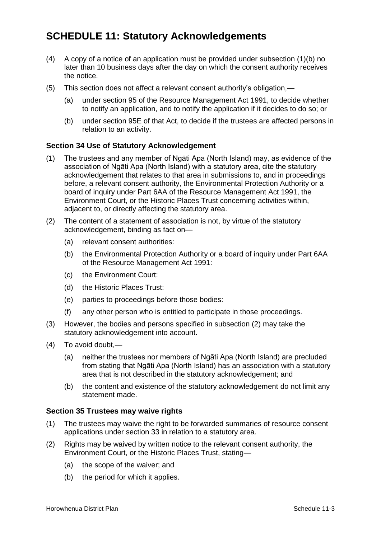- (4) A copy of a notice of an application must be provided under subsection (1)(b) no later than 10 business days after the day on which the consent authority receives the notice.
- (5) This section does not affect a relevant consent authority's obligation,—
	- (a) under section 95 of the Resource Management Act 1991, to decide whether to notify an application, and to notify the application if it decides to do so; or
	- (b) under section 95E of that Act, to decide if the trustees are affected persons in relation to an activity.

#### **Section 34 Use of Statutory Acknowledgement**

- (1) The trustees and any member of Ngāti Apa (North Island) may, as evidence of the association of Ngāti Apa (North Island) with a statutory area, cite the statutory acknowledgement that relates to that area in submissions to, and in proceedings before, a relevant consent authority, the Environmental Protection Authority or a board of inquiry under Part 6AA of the Resource Management Act 1991, the Environment Court, or the Historic Places Trust concerning activities within, adjacent to, or directly affecting the statutory area.
- (2) The content of a statement of association is not, by virtue of the statutory acknowledgement, binding as fact on—
	- (a) relevant consent authorities:
	- (b) the Environmental Protection Authority or a board of inquiry under Part 6AA of the Resource Management Act 1991:
	- (c) the Environment Court:
	- (d) the Historic Places Trust:
	- (e) parties to proceedings before those bodies:
	- (f) any other person who is entitled to participate in those proceedings.
- (3) However, the bodies and persons specified in subsection (2) may take the statutory acknowledgement into account.
- (4) To avoid doubt,—
	- (a) neither the trustees nor members of Ngāti Apa (North Island) are precluded from stating that Ngāti Apa (North Island) has an association with a statutory area that is not described in the statutory acknowledgement; and
	- (b) the content and existence of the statutory acknowledgement do not limit any statement made.

#### **Section 35 Trustees may waive rights**

- (1) The trustees may waive the right to be forwarded summaries of resource consent applications under section 33 in relation to a statutory area.
- (2) Rights may be waived by written notice to the relevant consent authority, the Environment Court, or the Historic Places Trust, stating—
	- (a) the scope of the waiver; and
	- (b) the period for which it applies.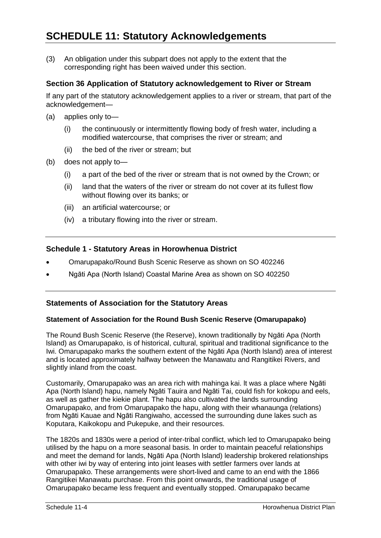(3) An obligation under this subpart does not apply to the extent that the corresponding right has been waived under this section.

# **Section 36 Application of Statutory acknowledgement to River or Stream**

If any part of the statutory acknowledgement applies to a river or stream, that part of the acknowledgement—

- (a) applies only to—
	- (i) the continuously or intermittently flowing body of fresh water, including a modified watercourse, that comprises the river or stream; and
	- (ii) the bed of the river or stream; but
- (b) does not apply to—
	- (i) a part of the bed of the river or stream that is not owned by the Crown; or
	- (ii) land that the waters of the river or stream do not cover at its fullest flow without flowing over its banks; or
	- (iii) an artificial watercourse; or
	- (iv) a tributary flowing into the river or stream.

# **Schedule 1 - Statutory Areas in Horowhenua District**

- Omarupapako/Round Bush Scenic Reserve as shown on SO 402246
- Ngāti Apa (North Island) Coastal Marine Area as shown on SO 402250

#### **Statements of Association for the Statutory Areas**

#### **Statement of Association for the Round Bush Scenic Reserve (Omarupapako)**

The Round Bush Scenic Reserve (the Reserve), known traditionally by Ngāti Apa (North lsland) as Omarupapako, is of historical, cultural, spiritual and traditional significance to the Iwi. Omarupapako marks the southern extent of the Ngāti Apa (North lsland) area of interest and is located approximately halfway between the Manawatu and Rangitikei Rivers, and slightly inland from the coast.

Customarily, Omarupapako was an area rich with mahinga kai. lt was a place where Ngāti Apa (North lsland) hapu, namely Ngāti Tauira and Ngāti Tai, could fish for kokopu and eels, as well as gather the kiekie plant. The hapu also cultivated the lands surrounding Omarupapako, and from Omarupapako the hapu, along with their whanaunga (relations) from Ngāti Kauae and Ngāti Rangiwaho, accessed the surrounding dune lakes such as Koputara, Kaikokopu and Pukepuke, and their resources.

The 1820s and 1830s were a period of inter-tribal conflict, which led to Omarupapako being utilised by the hapu on a more seasonal basis. ln order to maintain peaceful relationships and meet the demand for lands, Ngāti Apa (North lsland) leadership brokered relationships with other iwi by way of entering into joint leases with settler farmers over lands at Omarupapako. These arrangements were short-lived and came to an end with the 1866 Rangitikei Manawatu purchase. From this point onwards, the traditional usage of Omarupapako became less frequent and eventually stopped. Omarupapako became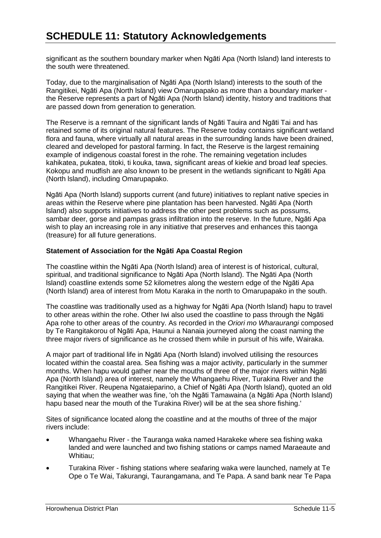significant as the southern boundary marker when Ngāti Apa (North lsland) land interests to the south were threatened.

Today, due to the marginalisation of Ngāti Apa (North lsland) interests to the south of the Rangitikei, Ngāti Apa (North lsland) view Omarupapako as more than a boundary marker the Reserve represents a part of Ngāti Apa (North lsland) identity, history and traditions that are passed down from generation to generation.

The Reserve is a remnant of the significant lands of Ngāti Tauira and Ngāti Tai and has retained some of its original natural features. The Reserve today contains significant wetland flora and fauna, where virtually all natural areas in the surrounding lands have been drained, cleared and developed for pastoral farming. ln fact, the Reserve is the largest remaining example of indigenous coastal forest in the rohe. The remaining vegetation includes kahikatea, pukatea, titoki, ti kouka, tawa, significant areas of kiekie and broad leaf species. Kokopu and mudfish are also known to be present in the wetlands significant to Ngāti Apa (North lsland), including Omarupapako.

Ngāti Apa (North lsland) supports current (and future) initiatives to replant native species in areas within the Reserve where pine plantation has been harvested. Ngāti Apa (North lsland) also supports initiatives to address the other pest problems such as possums, sambar deer, gorse and pampas grass infiltration into the reserve. In the future, Ngāti Apa wish to play an increasing role in any initiative that preserves and enhances this taonga (treasure) for all future generations.

# **Statement of Association for the Ngāti Apa Coastal Region**

The coastline within the Ngāti Apa (North lsland) area of interest is of historical, cultural, spiritual, and traditional significance to Ngāti Apa (North lsland). The Ngāti Apa (North lsland) coastline extends some 52 kilometres along the western edge of the Ngāti Apa (North lsland) area of interest from Motu Karaka in the north to Omarupapako in the south.

The coastline was traditionally used as a highway for Ngāti Apa (North lsland) hapu to travel to other areas within the rohe. Other Iwi also used the coastline to pass through the Ngāti Apa rohe to other areas of the country. As recorded in the *Oriori mo Wharaurangi* composed by Te Rangitakorou of Ngāti Apa, Haunui a Nanaia journeyed along the coast naming the three major rivers of significance as he crossed them while in pursuit of his wife, Wairaka.

A major part of traditional life in Ngāti Apa (North lsland) involved utilising the resources located within the coastal area. Sea fishing was a major activity, particularly in the summer months. When hapu would gather near the mouths of three of the major rivers within Ngāti Apa (North lsland) area of interest, namely the Whangaehu River, Turakina River and the Rangitikei River. Reupena Ngataieparino, a Chief of Ngāti Apa (North lsland), quoted an old saying that when the weather was fine, 'oh the Ngāti Tamawaina (a Ngāti Apa (North lsland) hapu based near the mouth of the Turakina River) will be at the sea shore fishing.'

Sites of significance located along the coastline and at the mouths of three of the major rivers include:

- Whangaehu River the Tauranga waka named Harakeke where sea fishing waka landed and were launched and two fishing stations or camps named Maraeaute and Whitiau;
- Turakina River fishing stations where seafaring waka were launched, namely at Te Ope o Te Wai, Takurangi, Taurangamana, and Te Papa. A sand bank near Te Papa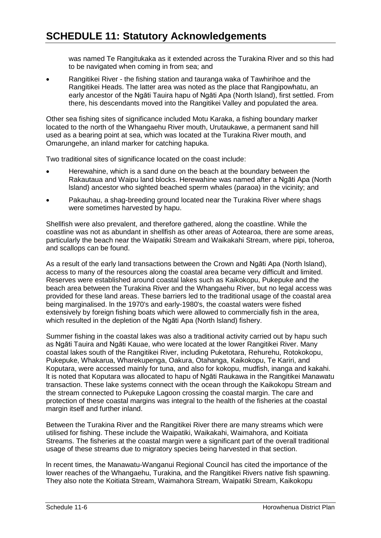was named Te Rangitukaka as it extended across the Turakina River and so this had to be navigated when coming in from sea; and

 Rangitikei River - the fishing station and tauranga waka of Tawhirihoe and the Rangitikei Heads. The latter area was noted as the place that Rangipowhatu, an early ancestor of the Ngāti Tauira hapu of Ngāti Apa (North lsland), first settled. From there, his descendants moved into the Rangitikei Valley and populated the area.

Other sea fishing sites of significance included Motu Karaka, a fishing boundary marker located to the north of the Whangaehu River mouth, Urutaukawe, a permanent sand hill used as a bearing point at sea, which was located at the Turakina River mouth, and Omarungehe, an inland marker for catching hapuka.

Two traditional sites of significance located on the coast include:

- Herewahine, which is a sand dune on the beach at the boundary between the Rakautaua and Waipu land blocks. Herewahine was named after a Ngāti Apa (North lsland) ancestor who sighted beached sperm whales (paraoa) in the vicinity; and
- Pakauhau, a shag-breeding ground located near the Turakina River where shags were sometimes harvested by hapu.

Shellfish were also prevalent, and therefore gathered, along the coastline. While the coastline was not as abundant in shellfish as other areas of Aotearoa, there are some areas, particularly the beach near the Waipatiki Stream and Waikakahi Stream, where pipi, toheroa, and scallops can be found.

As a result of the early land transactions between the Crown and Ngāti Apa (North lsland), access to many of the resources along the coastal area became very difficult and limited. Reserves were established around coastal lakes such as Kaikokopu, Pukepuke and the beach area between the Turakina River and the Whangaehu River, but no legal access was provided for these land areas. These barriers led to the traditional usage of the coastal area being marginalised. ln the 1970's and early-1980's, the coastal waters were fished extensively by foreign fishing boats which were allowed to commercially fish in the area, which resulted in the depletion of the Ngāti Apa (North lsland) fishery.

Summer fishing in the coastal lakes was also a traditional activity carried out by hapu such as Ngāti Tauira and Ngāti Kauae, who were located at the lower Rangitikei River. Many coastal lakes south of the Rangitikei River, including Puketotara, Rehurehu, Rotokokopu, Pukepuke, Whakarua, Wharekupenga, Oakura, Otahanga, Kaikokopu, Te Kariri, and Koputara, were accessed mainly for tuna, and also for kokopu, mudfish, inanga and kakahi. lt is noted that Koputara was allocated to hapu of Ngāti Raukawa in the Rangitikei Manawatu transaction. These lake systems connect with the ocean through the Kaikokopu Stream and the stream connected to Pukepuke Lagoon crossing the coastal margin. The care and protection of these coastal margins was integral to the health of the fisheries at the coastal margin itself and further inland.

Between the Turakina River and the Rangitikei River there are many streams which were utilised for fishing. These include the Waipatiki, Waikakahi, Waimahora, and Koitiata Streams. The fisheries at the coastal margin were a significant part of the overall traditional usage of these streams due to migratory species being harvested in that section.

ln recent times, the Manawatu-Wanganui Regional Council has cited the importance of the lower reaches of the Whangaehu, Turakina, and the Rangitikei Rivers native fish spawning. They also note the Koitiata Stream, Waimahora Stream, Waipatiki Stream, Kaikokopu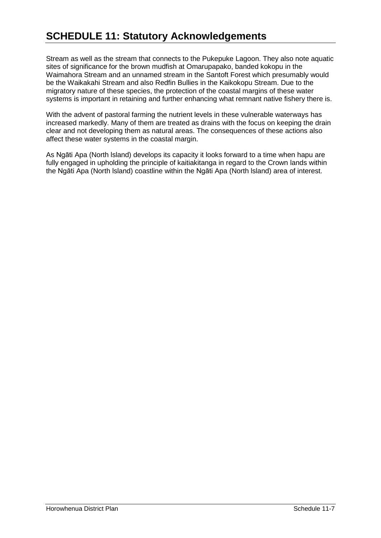Stream as well as the stream that connects to the Pukepuke Lagoon. They also note aquatic sites of significance for the brown mudfish at Omarupapako, banded kokopu in the Waimahora Stream and an unnamed stream in the Santoft Forest which presumably would be the Waikakahi Stream and also Redfin Bullies in the Kaikokopu Stream. Due to the migratory nature of these species, the protection of the coastal margins of these water systems is important in retaining and further enhancing what remnant native fishery there is.

With the advent of pastoral farming the nutrient levels in these vulnerable waterways has increased markedly. Many of them are treated as drains with the focus on keeping the drain clear and not developing them as natural areas. The consequences of these actions also affect these water systems in the coastal margin.

As Ngāti Apa (North lsland) develops its capacity it looks forward to a time when hapu are fully engaged in upholding the principle of kaitiakitanga in regard to the Crown lands within the Ngāti Apa (North lsland) coastline within the Ngāti Apa (North lsland) area of interest.